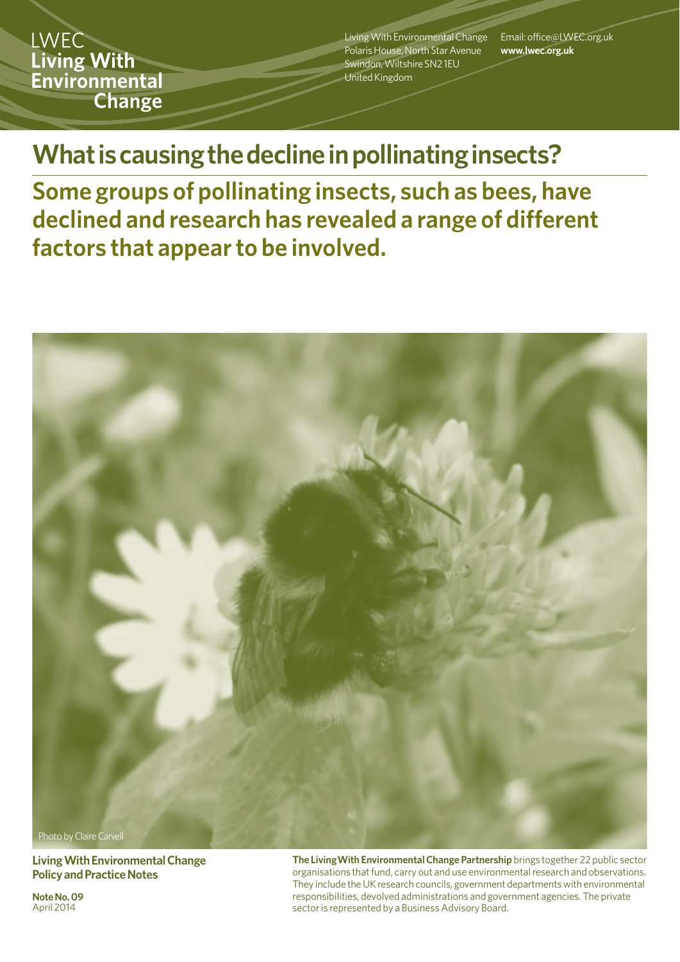LWEC \ Living With Environmental **Change** 

Living With Environmental Change Polaris House, North Star Avenue Swindon, Wiltshire SN2 1EU United Kingdom

Email: office@LWEC.org.uk **www.lwec.org.uk**

**What is causing the decline in pollinating insects?**

**Some groups of pollinating insects, such as bees, have declined and research has revealed a range of different factors that appear to be involved.**



**Living With Environmental Change Policy and Practice Notes**

**Note No. 09**  April 2014

**The LivingWith Environmental Change Partnership** brings together 22 public sector organisations that fund, carry out and use environmental research and observations. They include the UK research councils, government departments with environmental responsibilities, devolved administrations and government agencies. The private sector is represented by a Business Advisory Board.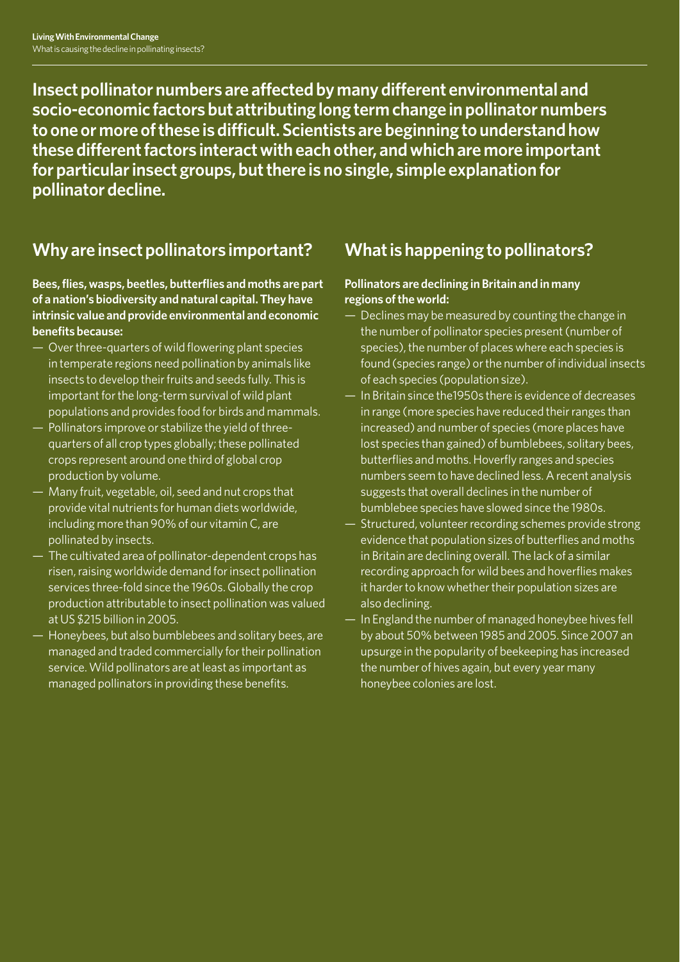**Insect pollinator numbers are affected by many different environmental and socio-economic factors but attributing long term change in pollinator numbers to one or more of these is difficult. Scientists are beginning to understand how these different factors interact with each other, and which are more important for particular insect groups, but there is no single, simple explanation for pollinator decline.**

# **Why are insect pollinators important?**

#### **Bees, flies, wasps, beetles, butterflies and moths are part of a nation's biodiversity and natural capital. They have intrinsic value and provide environmental and economic benefits because:**

- Over three-quarters of wild flowering plant species in temperate regions need pollination by animals like insects to develop their fruits and seeds fully. This is important for the long-term survival of wild plant populations and provides food for birds and mammals.
- Pollinators improve or stabilize the yield of threequarters of all crop types globally; these pollinated crops represent around one third of global crop production by volume.
- Many fruit, vegetable, oil, seed and nut crops that provide vital nutrients for human diets worldwide, including more than 90% of our vitamin C, are pollinated by insects.
- The cultivated area of pollinator-dependent crops has risen, raising worldwide demand for insect pollination services three-fold since the 1960s. Globally the crop production attributable to insect pollination was valued at US \$215 billion in 2005.
- Honeybees, but also bumblebees and solitary bees, are managed and traded commercially for their pollination service. Wild pollinators are at least as important as managed pollinators in providing these benefits.

## **What is happening to pollinators?**

### **Pollinators are declining in Britain and in many regions of the world:**

- Declines may be measured by counting the change in the number of pollinator species present (number of species), the number of places where each species is found (species range) or the number of individual insects of each species (population size).
- In Britain since the1950s there is evidence of decreases in range (more species have reduced their ranges than increased) and number of species (more places have lost species than gained) of bumblebees, solitary bees, butterflies and moths. Hoverfly ranges and species numbers seem to have declined less. A recent analysis suggests that overall declines in the number of bumblebee species have slowed since the 1980s.
- Structured, volunteer recording schemes provide strong evidence that population sizes of butterflies and moths in Britain are declining overall. The lack of a similar recording approach for wild bees and hoverflies makes it harder to know whether their population sizes are also declining.
- In England the number of managed honeybee hives fell by about 50% between 1985 and 2005. Since 2007 an upsurge in the popularity of beekeeping has increased the number of hives again, but every year many honeybee colonies are lost.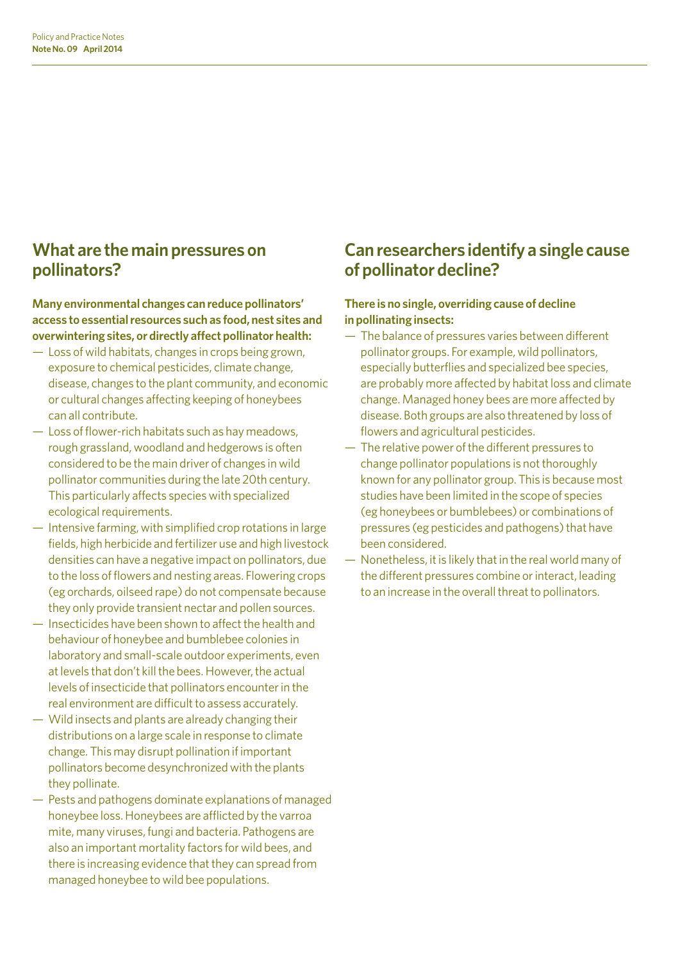### **What are the main pressures on pollinators?**

**Many environmental changes can reduce pollinators' access to essential resources such as food, nest sites and overwintering sites, or directly affect pollinator health:** 

- Loss of wild habitats, changes in crops being grown, exposure to chemical pesticides, climate change, disease, changes to the plant community, and economic or cultural changes affecting keeping of honeybees can all contribute.
- Loss of flower-rich habitats such as hay meadows, rough grassland, woodland and hedgerows is often considered to be the main driver of changes in wild pollinator communities during the late 20th century. This particularly affects species with specialized ecological requirements.
- Intensive farming, with simplified crop rotations in large fields, high herbicide and fertilizer use and high livestock densities can have a negative impact on pollinators, due to the loss of flowers and nesting areas. Flowering crops (eg orchards, oilseed rape) do not compensate because they only provide transient nectar and pollen sources.
- Insecticides have been shown to affect the health and behaviour of honeybee and bumblebee colonies in laboratory and small-scale outdoor experiments, even at levels that don't kill the bees. However, the actual levels of insecticide that pollinators encounter in the real environment are difficult to assess accurately.
- Wild insects and plants are already changing their distributions on a large scale in response to climate change. This may disrupt pollination if important pollinators become desynchronized with the plants they pollinate.
- Pests and pathogens dominate explanations of managed honeybee loss. Honeybees are afflicted by the varroa mite, many viruses, fungi and bacteria. Pathogens are also an important mortality factors for wild bees, and there is increasing evidence that they can spread from managed honeybee to wild bee populations.

## **Can researchers identify a single cause of pollinator decline?**

### **There is no single, overriding cause of decline in pollinating insects:**

- The balance of pressures varies between different pollinator groups. For example, wild pollinators, especially butterflies and specialized bee species, are probably more affected by habitat loss and climate change. Managed honey bees are more affected by disease. Both groups are also threatened by loss of flowers and agricultural pesticides.
- The relative power of the different pressures to change pollinator populations is not thoroughly known for any pollinator group. This is because most studies have been limited in the scope of species (eg honeybees or bumblebees) or combinations of pressures (eg pesticides and pathogens) that have been considered.
- Nonetheless, it is likely that in the real world many of the different pressures combine or interact, leading to an increase in the overall threat to pollinators.